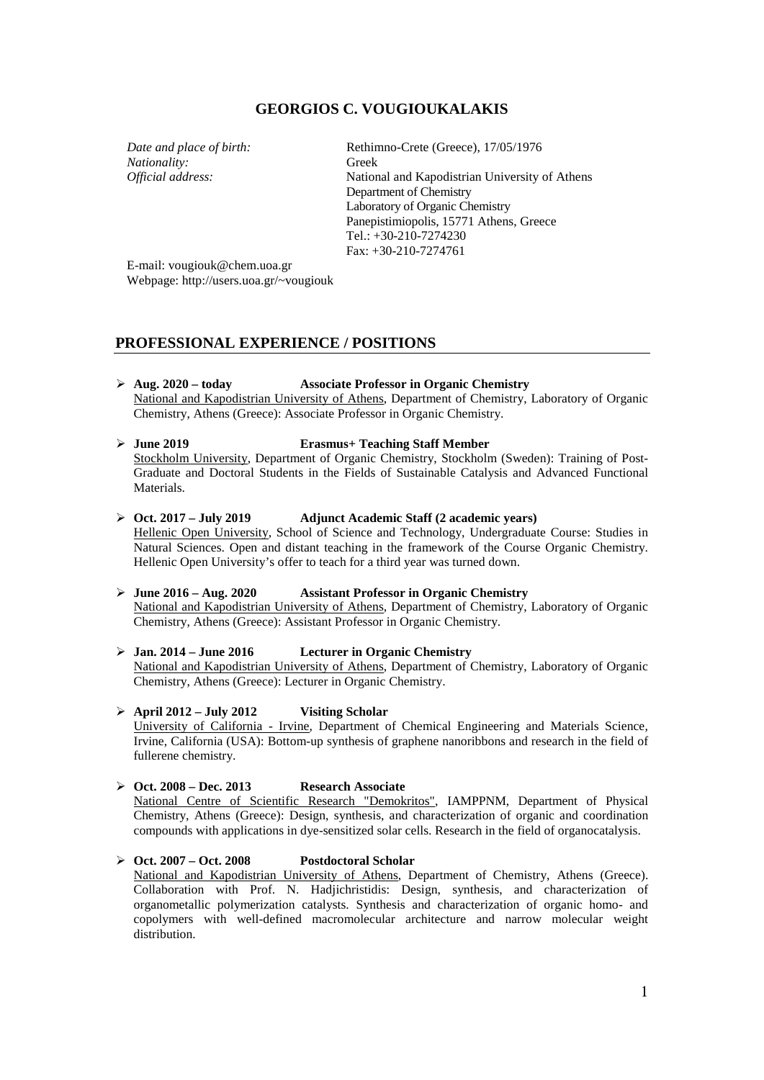# **GEORGIOS C. VOUGIOUKALAKIS**

*Nationality:* Greek<br>*Official address:* Nation

*Date and place of birth:* Rethimno-Crete (Greece), 17/05/1976 **National and Kapodistrian University of Athens** Department of Chemistry Laboratory of Organic Chemistry Panepistimiopolis, 15771 Athens, Greece Tel.: +30-210-7274230 Fax: +30-210-7274761

E-mail: vougiouk@chem.uoa.gr Webpage: http://users.uoa.gr/~vougiouk

# **PROFESSIONAL EXPERIENCE / POSITIONS**

**Aug. 2020 – today Associate Professor in Organic Chemistry**

National and Kapodistrian University of Athens, Department of Chemistry, Laboratory of Organic Chemistry, Athens (Greece): Associate Professor in Organic Chemistry.

- **June 2019 Erasmus+ Teaching Staff Member** Stockholm University, Department of Organic Chemistry, Stockholm (Sweden): Training of Post-Graduate and Doctoral Students in the Fields of Sustainable Catalysis and Advanced Functional Materials.
- **Oct. 2017 – July 2019 Adjunct Academic Staff (2 academic years)** Hellenic Open University, School of Science and Technology, Undergraduate Course: Studies in Natural Sciences. Open and distant teaching in the framework of the Course Organic Chemistry. Hellenic Open University's offer to teach for a third year was turned down.
- **June 2016 – Aug. 2020 Assistant Professor in Organic Chemistry** National and Kapodistrian University of Athens, Department of Chemistry, Laboratory of Organic Chemistry, Athens (Greece): Assistant Professor in Organic Chemistry.
- **Jan. 2014 – June 2016 Lecturer in Organic Chemistry** National and Kapodistrian University of Athens, Department of Chemistry, Laboratory of Organic Chemistry, Athens (Greece): Lecturer in Organic Chemistry.

 **April 2012 – July 2012 Visiting Scholar** University of California - Irvine, Department of Chemical Engineering and Materials Science, Irvine, California (USA): Bottom-up synthesis of graphene nanoribbons and research in the field of fullerene chemistry.

 **Oct. 2008 – Dec. 2013 Research Associate** National Centre of Scientific Research "Demokritos", IAMPPNM, Department of Physical Chemistry, Athens (Greece): Design, synthesis, and characterization of organic and coordination compounds with applications in dye-sensitized solar cells. Research in the field of organocatalysis.

 **Oct. 2007 – Oct. 2008 Postdoctoral Scholar** National and Kapodistrian University of Athens, Department of Chemistry, Athens (Greece). Collaboration with Prof. N. Hadjichristidis: Design, synthesis, and characterization of organometallic polymerization catalysts. Synthesis and characterization of organic homo- and copolymers with well-defined macromolecular architecture and narrow molecular weight distribution.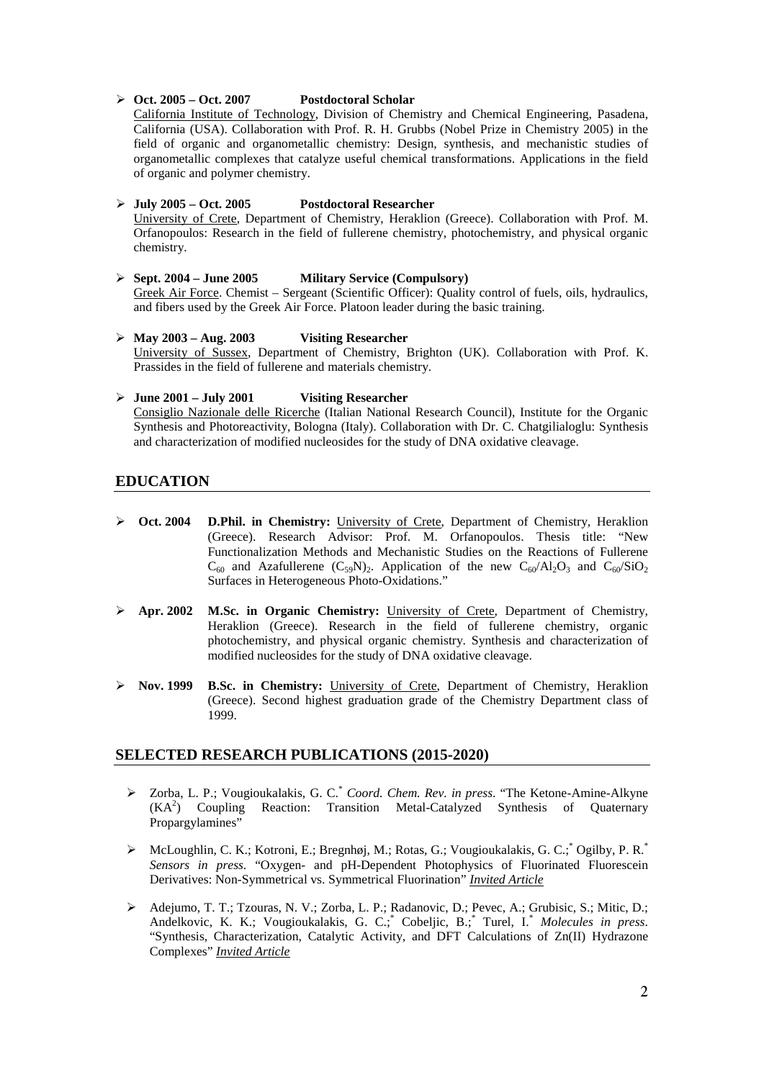#### **Oct. 2005 – Oct. 2007 Postdoctoral Scholar**

California Institute of Technology, Division of Chemistry and Chemical Engineering, Pasadena, California (USA). Collaboration with Prof. R. H. Grubbs (Nobel Prize in Chemistry 2005) in the field of organic and organometallic chemistry: Design, synthesis, and mechanistic studies of organometallic complexes that catalyze useful chemical transformations. Applications in the field of organic and polymer chemistry.

# **July 2005 – Oct. 2005 Postdoctoral Researcher**

University of Crete, Department of Chemistry, Heraklion (Greece). Collaboration with Prof. M. Orfanopoulos: Research in the field of fullerene chemistry, photochemistry, and physical organic chemistry.

- **Sept. 2004 – June 2005 Military Service (Compulsory)** Greek Air Force. Chemist - Sergeant (Scientific Officer): Quality control of fuels, oils, hydraulics, and fibers used by the Greek Air Force. Platoon leader during the basic training.
- **May 2003 – Aug. 2003 Visiting Researcher** University of Sussex, Department of Chemistry, Brighton (UK). Collaboration with Prof. K. Prassides in the field of fullerene and materials chemistry.

#### **June 2001 – July 2001 Visiting Researcher** Consiglio Nazionale delle Ricerche (Italian National Research Council), Institute for the Organic Synthesis and Photoreactivity, Bologna (Italy). Collaboration with Dr. C. Chatgilialoglu: Synthesis and characterization of modified nucleosides for the study of DNA oxidative cleavage.

# **EDUCATION**

- **Oct. 2004 D.Phil. in Chemistry:** University of Crete, Department of Chemistry, Heraklion (Greece). Research Advisor: Prof. M. Orfanopoulos. Thesis title: "New Functionalization Methods and Mechanistic Studies on the Reactions of Fullerene  $C_{60}$  and Azafullerene  $(C_{59}N)_2$ . Application of the new  $C_{60}/Al_2O_3$  and  $C_{60}/SiO_2$ Surfaces in Heterogeneous Photo-Oxidations."
- **Apr. 2002 M.Sc. in Organic Chemistry:** University of Crete, Department of Chemistry, Heraklion (Greece). Research in the field of fullerene chemistry, organic photochemistry, and physical organic chemistry. Synthesis and characterization of modified nucleosides for the study of DNA oxidative cleavage.
- **Nov. 1999 B.Sc. in Chemistry:** University of Crete, Department of Chemistry, Heraklion (Greece). Second highest graduation grade of the Chemistry Department class of 1999.

# **SELECTED RESEARCH PUBLICATIONS (2015-2020)**

- Zorba, L. P.; Vougioukalakis, G. C.\* *Coord. Chem. Rev. in press*. "The Ketone-Amine-Alkyne (KA2 ) Coupling Reaction: Transition Metal-Catalyzed Synthesis of Quaternary Propargylamines"
- > McLoughlin, C. K.; Kotroni, E.; Bregnhøj, M.; Rotas, G.; Vougioukalakis, G. C.; Ogilby, P. R.\* *Sensors in press*. "Oxygen- and pH-Dependent Photophysics of Fluorinated Fluorescein Derivatives: Non-Symmetrical vs. Symmetrical Fluorination" *Invited Article*
- Adejumo, T. T.; Tzouras, N. V.; Zorba, L. P.; Radanovic, D.; Pevec, A.; Grubisic, S.; Mitic, D.; Andelkovic, K. K.; Vougioukalakis, G. C.;\* Cobeljic, B.; \* Turel, I.\* *Molecules in press*. "Synthesis, Characterization, Catalytic Activity, and DFT Calculations of Zn(II) Hydrazone Complexes" *Invited Article*